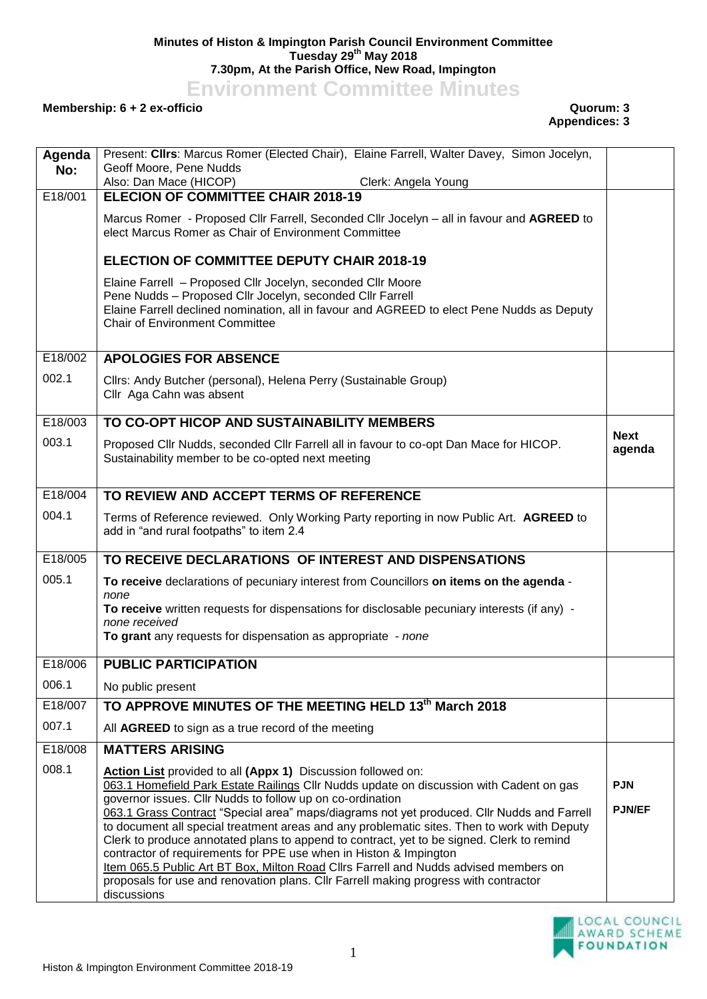## **Minutes of Histon & Impington Parish Council Environment Committee Tuesday 29th May 2018 7.30pm, At the Parish Office, New Road, Impington**

**Environment Committee Minutes**

## **Membership: 6 + 2 ex-officio Quorum: 3**

## **Appendices: 3**

| Agenda  | Present: Clirs: Marcus Romer (Elected Chair), Elaine Farrell, Walter Davey, Simon Jocelyn,                                                                                                                                                                      |                       |
|---------|-----------------------------------------------------------------------------------------------------------------------------------------------------------------------------------------------------------------------------------------------------------------|-----------------------|
| No:     | Geoff Moore, Pene Nudds                                                                                                                                                                                                                                         |                       |
| E18/001 | Also: Dan Mace (HICOP)<br>Clerk: Angela Young<br><b>ELECION OF COMMITTEE CHAIR 2018-19</b>                                                                                                                                                                      |                       |
|         | Marcus Romer - Proposed Cllr Farrell, Seconded Cllr Jocelyn - all in favour and AGREED to<br>elect Marcus Romer as Chair of Environment Committee                                                                                                               |                       |
|         | <b>ELECTION OF COMMITTEE DEPUTY CHAIR 2018-19</b>                                                                                                                                                                                                               |                       |
|         | Elaine Farrell - Proposed Cllr Jocelyn, seconded Cllr Moore<br>Pene Nudds - Proposed Cllr Jocelyn, seconded Cllr Farrell<br>Elaine Farrell declined nomination, all in favour and AGREED to elect Pene Nudds as Deputy<br><b>Chair of Environment Committee</b> |                       |
| E18/002 | <b>APOLOGIES FOR ABSENCE</b>                                                                                                                                                                                                                                    |                       |
| 002.1   | Cllrs: Andy Butcher (personal), Helena Perry (Sustainable Group)<br>Cllr Aga Cahn was absent                                                                                                                                                                    |                       |
| E18/003 | TO CO-OPT HICOP AND SUSTAINABILITY MEMBERS                                                                                                                                                                                                                      |                       |
| 003.1   | Proposed Cllr Nudds, seconded Cllr Farrell all in favour to co-opt Dan Mace for HICOP.<br>Sustainability member to be co-opted next meeting                                                                                                                     | <b>Next</b><br>agenda |
| E18/004 | TO REVIEW AND ACCEPT TERMS OF REFERENCE                                                                                                                                                                                                                         |                       |
| 004.1   | Terms of Reference reviewed. Only Working Party reporting in now Public Art. AGREED to<br>add in "and rural footpaths" to item 2.4                                                                                                                              |                       |
| E18/005 | TO RECEIVE DECLARATIONS OF INTEREST AND DISPENSATIONS                                                                                                                                                                                                           |                       |
| 005.1   | To receive declarations of pecuniary interest from Councillors on items on the agenda -<br>none                                                                                                                                                                 |                       |
|         | To receive written requests for dispensations for disclosable pecuniary interests (if any) -                                                                                                                                                                    |                       |
|         | none received<br>To grant any requests for dispensation as appropriate - none                                                                                                                                                                                   |                       |
| E18/006 | <b>PUBLIC PARTICIPATION</b>                                                                                                                                                                                                                                     |                       |
| 006.1   | No public present                                                                                                                                                                                                                                               |                       |
| E18/007 | TO APPROVE MINUTES OF THE MEETING HELD 13th March 2018                                                                                                                                                                                                          |                       |
| 007.1   | All AGREED to sign as a true record of the meeting                                                                                                                                                                                                              |                       |
| E18/008 | <b>MATTERS ARISING</b>                                                                                                                                                                                                                                          |                       |
| 008.1   | Action List provided to all (Appx 1) Discussion followed on:                                                                                                                                                                                                    |                       |
|         | 063.1 Homefield Park Estate Railings Cllr Nudds update on discussion with Cadent on gas<br>governor issues. Cllr Nudds to follow up on co-ordination                                                                                                            | <b>PJN</b>            |
|         | 063.1 Grass Contract "Special area" maps/diagrams not yet produced. Cllr Nudds and Farrell                                                                                                                                                                      | <b>PJN/EF</b>         |
|         | to document all special treatment areas and any problematic sites. Then to work with Deputy<br>Clerk to produce annotated plans to append to contract, yet to be signed. Clerk to remind                                                                        |                       |
|         | contractor of requirements for PPE use when in Histon & Impington                                                                                                                                                                                               |                       |
|         | Item 065.5 Public Art BT Box, Milton Road Cllrs Farrell and Nudds advised members on<br>proposals for use and renovation plans. Cllr Farrell making progress with contractor                                                                                    |                       |
|         | discussions                                                                                                                                                                                                                                                     |                       |

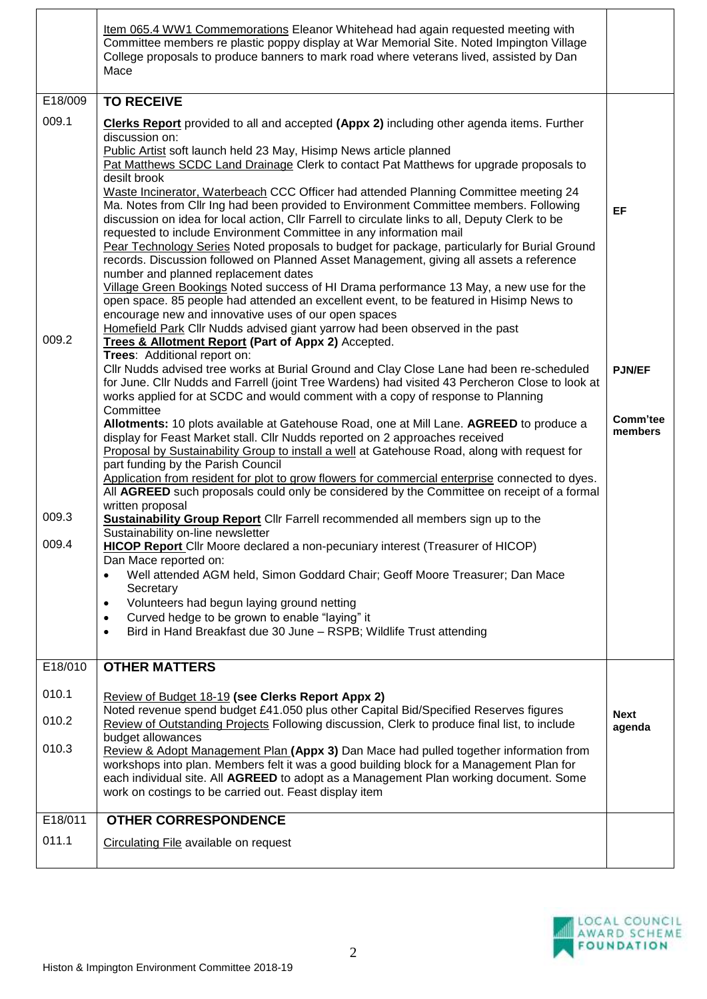|         | Item 065.4 WW1 Commemorations Eleanor Whitehead had again requested meeting with<br>Committee members re plastic poppy display at War Memorial Site. Noted Impington Village<br>College proposals to produce banners to mark road where veterans lived, assisted by Dan<br>Mace                                                                                                                                                                                                                                                                                                                                                                                                                                                                                                                                                                                                                                                                                                                                                                                                                                                                                                                                              |                       |
|---------|------------------------------------------------------------------------------------------------------------------------------------------------------------------------------------------------------------------------------------------------------------------------------------------------------------------------------------------------------------------------------------------------------------------------------------------------------------------------------------------------------------------------------------------------------------------------------------------------------------------------------------------------------------------------------------------------------------------------------------------------------------------------------------------------------------------------------------------------------------------------------------------------------------------------------------------------------------------------------------------------------------------------------------------------------------------------------------------------------------------------------------------------------------------------------------------------------------------------------|-----------------------|
| E18/009 | <b>TO RECEIVE</b>                                                                                                                                                                                                                                                                                                                                                                                                                                                                                                                                                                                                                                                                                                                                                                                                                                                                                                                                                                                                                                                                                                                                                                                                            |                       |
| 009.1   | <b>Clerks Report</b> provided to all and accepted (Appx 2) including other agenda items. Further<br>discussion on:<br>Public Artist soft launch held 23 May, Hisimp News article planned<br>Pat Matthews SCDC Land Drainage Clerk to contact Pat Matthews for upgrade proposals to<br>desilt brook<br>Waste Incinerator, Waterbeach CCC Officer had attended Planning Committee meeting 24<br>Ma. Notes from Cllr Ing had been provided to Environment Committee members. Following<br>discussion on idea for local action, Cllr Farrell to circulate links to all, Deputy Clerk to be<br>requested to include Environment Committee in any information mail<br>Pear Technology Series Noted proposals to budget for package, particularly for Burial Ground<br>records. Discussion followed on Planned Asset Management, giving all assets a reference<br>number and planned replacement dates<br>Village Green Bookings Noted success of HI Drama performance 13 May, a new use for the<br>open space. 85 people had attended an excellent event, to be featured in Hisimp News to<br>encourage new and innovative uses of our open spaces<br>Homefield Park Cllr Nudds advised giant yarrow had been observed in the past | EF                    |
| 009.2   | Trees & Allotment Report (Part of Appx 2) Accepted.<br>Trees: Additional report on:<br>Cllr Nudds advised tree works at Burial Ground and Clay Close Lane had been re-scheduled<br>for June. Cllr Nudds and Farrell (joint Tree Wardens) had visited 43 Percheron Close to look at<br>works applied for at SCDC and would comment with a copy of response to Planning                                                                                                                                                                                                                                                                                                                                                                                                                                                                                                                                                                                                                                                                                                                                                                                                                                                        | <b>PJN/EF</b>         |
|         | Committee<br>Allotments: 10 plots available at Gatehouse Road, one at Mill Lane. AGREED to produce a<br>display for Feast Market stall. Cllr Nudds reported on 2 approaches received<br>Proposal by Sustainability Group to install a well at Gatehouse Road, along with request for<br>part funding by the Parish Council<br>Application from resident for plot to grow flowers for commercial enterprise connected to dyes.<br>All AGREED such proposals could only be considered by the Committee on receipt of a formal<br>written proposal                                                                                                                                                                                                                                                                                                                                                                                                                                                                                                                                                                                                                                                                              | Comm'tee<br>members   |
| 009.3   | <b>Sustainability Group Report</b> Cllr Farrell recommended all members sign up to the<br>Sustainability on-line newsletter                                                                                                                                                                                                                                                                                                                                                                                                                                                                                                                                                                                                                                                                                                                                                                                                                                                                                                                                                                                                                                                                                                  |                       |
| 009.4   | HICOP Report Cllr Moore declared a non-pecuniary interest (Treasurer of HICOP)<br>Dan Mace reported on:                                                                                                                                                                                                                                                                                                                                                                                                                                                                                                                                                                                                                                                                                                                                                                                                                                                                                                                                                                                                                                                                                                                      |                       |
|         | Well attended AGM held, Simon Goddard Chair; Geoff Moore Treasurer; Dan Mace<br>Secretary<br>Volunteers had begun laying ground netting<br>$\bullet$<br>Curved hedge to be grown to enable "laying" it<br>$\bullet$<br>Bird in Hand Breakfast due 30 June - RSPB; Wildlife Trust attending<br>$\bullet$                                                                                                                                                                                                                                                                                                                                                                                                                                                                                                                                                                                                                                                                                                                                                                                                                                                                                                                      |                       |
| E18/010 | <b>OTHER MATTERS</b>                                                                                                                                                                                                                                                                                                                                                                                                                                                                                                                                                                                                                                                                                                                                                                                                                                                                                                                                                                                                                                                                                                                                                                                                         |                       |
| 010.1   | Review of Budget 18-19 (see Clerks Report Appx 2)<br>Noted revenue spend budget £41.050 plus other Capital Bid/Specified Reserves figures                                                                                                                                                                                                                                                                                                                                                                                                                                                                                                                                                                                                                                                                                                                                                                                                                                                                                                                                                                                                                                                                                    |                       |
| 010.2   | Review of Outstanding Projects Following discussion, Clerk to produce final list, to include                                                                                                                                                                                                                                                                                                                                                                                                                                                                                                                                                                                                                                                                                                                                                                                                                                                                                                                                                                                                                                                                                                                                 | <b>Next</b><br>agenda |
| 010.3   | budget allowances<br>Review & Adopt Management Plan (Appx 3) Dan Mace had pulled together information from<br>workshops into plan. Members felt it was a good building block for a Management Plan for<br>each individual site. All AGREED to adopt as a Management Plan working document. Some<br>work on costings to be carried out. Feast display item                                                                                                                                                                                                                                                                                                                                                                                                                                                                                                                                                                                                                                                                                                                                                                                                                                                                    |                       |
| E18/011 | <b>OTHER CORRESPONDENCE</b>                                                                                                                                                                                                                                                                                                                                                                                                                                                                                                                                                                                                                                                                                                                                                                                                                                                                                                                                                                                                                                                                                                                                                                                                  |                       |
| 011.1   | Circulating File available on request                                                                                                                                                                                                                                                                                                                                                                                                                                                                                                                                                                                                                                                                                                                                                                                                                                                                                                                                                                                                                                                                                                                                                                                        |                       |
|         |                                                                                                                                                                                                                                                                                                                                                                                                                                                                                                                                                                                                                                                                                                                                                                                                                                                                                                                                                                                                                                                                                                                                                                                                                              |                       |